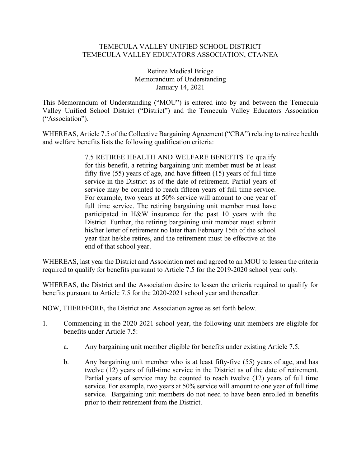## TEMECULA VALLEY UNIFIED SCHOOL DISTRICT TEMECULA VALLEY EDUCATORS ASSOCIATION, CTA/NEA

Retiree Medical Bridge Memorandum of Understanding January 14, 2021

This Memorandum of Understanding ("MOU") is entered into by and between the Temecula Valley Unified School District ("District") and the Temecula Valley Educators Association ("Association").

WHEREAS, Article 7.5 of the Collective Bargaining Agreement ("CBA") relating to retiree health and welfare benefits lists the following qualification criteria:

> 7.5 RETIREE HEALTH AND WELFARE BENEFITS To qualify for this benefit, a retiring bargaining unit member must be at least fifty-five (55) years of age, and have fifteen (15) years of full-time service in the District as of the date of retirement. Partial years of service may be counted to reach fifteen years of full time service. For example, two years at 50% service will amount to one year of full time service. The retiring bargaining unit member must have participated in H&W insurance for the past 10 years with the District. Further, the retiring bargaining unit member must submit his/her letter of retirement no later than February 15th of the school year that he/she retires, and the retirement must be effective at the end of that school year.

WHEREAS, last year the District and Association met and agreed to an MOU to lessen the criteria required to qualify for benefits pursuant to Article 7.5 for the 2019-2020 school year only.

WHEREAS, the District and the Association desire to lessen the criteria required to qualify for benefits pursuant to Article 7.5 for the 2020-2021 school year and thereafter.

NOW, THEREFORE, the District and Association agree as set forth below.

- 1. Commencing in the 2020-2021 school year, the following unit members are eligible for benefits under Article 7.5:
	- a. Any bargaining unit member eligible for benefits under existing Article 7.5.
	- b. Any bargaining unit member who is at least fifty-five (55) years of age, and has twelve (12) years of full-time service in the District as of the date of retirement. Partial years of service may be counted to reach twelve (12) years of full time service. For example, two years at 50% service will amount to one year of full time service. Bargaining unit members do not need to have been enrolled in benefits prior to their retirement from the District.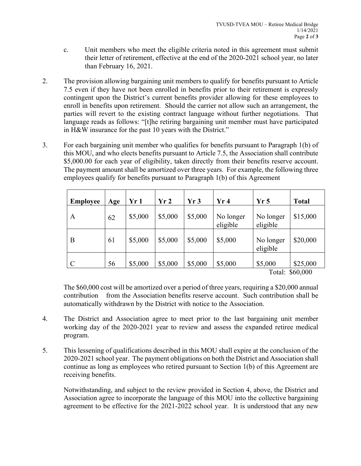- c. Unit members who meet the eligible criteria noted in this agreement must submit their letter of retirement, effective at the end of the 2020-2021 school year, no later than February 16, 2021.
- 2. The provision allowing bargaining unit members to qualify for benefits pursuant to Article 7.5 even if they have not been enrolled in benefits prior to their retirement is expressly contingent upon the District's current benefits provider allowing for these employees to enroll in benefits upon retirement. Should the carrier not allow such an arrangement, the parties will revert to the existing contract language without further negotiations. That language reads as follows: "[t]he retiring bargaining unit member must have participated in H&W insurance for the past 10 years with the District."
- 3. For each bargaining unit member who qualifies for benefits pursuant to Paragraph 1(b) of this MOU, and who elects benefits pursuant to Article 7.5, the Association shall contribute \$5,000.00 for each year of eligibility, taken directly from their benefits reserve account. The payment amount shall be amortized over three years. For example, the following three employees qualify for benefits pursuant to Paragraph 1(b) of this Agreement

| <b>Employee</b> | Age | Yr 1    | Yr2     | Yr3     | Yr4                   | Yr <sub>5</sub>       | <b>Total</b>                                                |
|-----------------|-----|---------|---------|---------|-----------------------|-----------------------|-------------------------------------------------------------|
| A               | 62  | \$5,000 | \$5,000 | \$5,000 | No longer<br>eligible | No longer<br>eligible | \$15,000                                                    |
| B               | 61  | \$5,000 | \$5,000 | \$5,000 | \$5,000               | No longer<br>eligible | \$20,000                                                    |
| $\mathcal{C}$   | 56  | \$5,000 | \$5,000 | \$5,000 | \$5,000               | \$5,000<br>$\sim$ 1   | \$25,000<br>$\bigwedge$ $\bigwedge$ $\bigwedge$ $\bigwedge$ |

Total: \$60,000

The \$60,000 cost will be amortized over a period of three years, requiring a \$20,000 annual contribution from the Association benefits reserve account. Such contribution shall be automatically withdrawn by the District with notice to the Association.

- 4. The District and Association agree to meet prior to the last bargaining unit member working day of the 2020-2021 year to review and assess the expanded retiree medical program.
- 5. This lessening of qualifications described in this MOU shall expire at the conclusion of the 2020-2021 school year. The payment obligations on both the District and Association shall continue as long as employees who retired pursuant to Section 1(b) of this Agreement are receiving benefits.

Notwithstanding, and subject to the review provided in Section 4, above, the District and Association agree to incorporate the language of this MOU into the collective bargaining agreement to be effective for the 2021-2022 school year. It is understood that any new